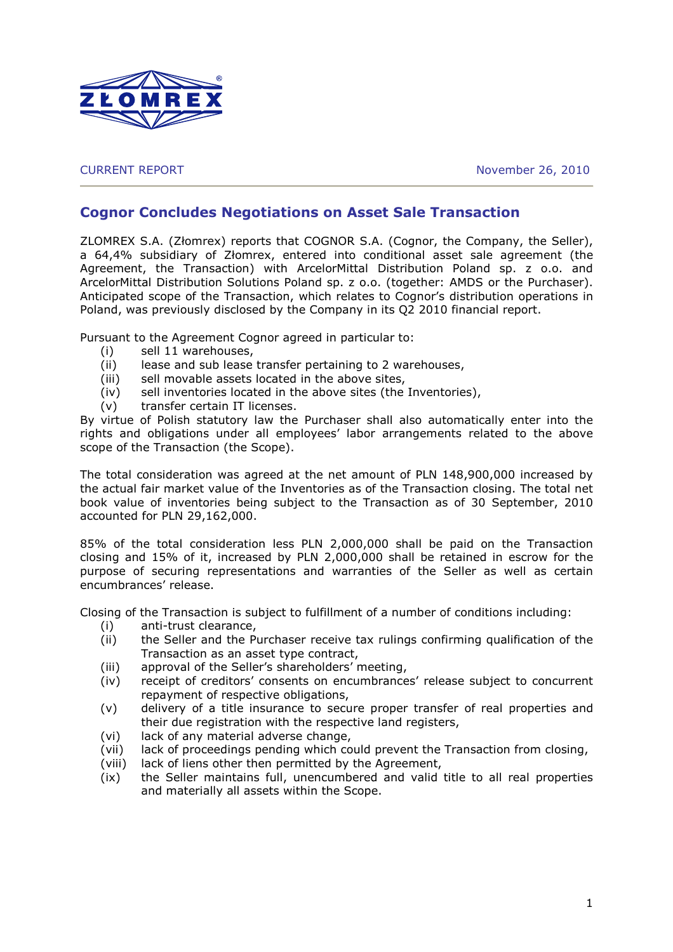

CURRENT REPORT November 26, 2010

## Cognor Concludes Negotiations on Asset Sale Transaction

ZLOMREX S.A. (Złomrex) reports that COGNOR S.A. (Cognor, the Company, the Seller), a 64,4% subsidiary of Złomrex, entered into conditional asset sale agreement (the Agreement, the Transaction) with ArcelorMittal Distribution Poland sp. z o.o. and ArcelorMittal Distribution Solutions Poland sp. z o.o. (together: AMDS or the Purchaser). Anticipated scope of the Transaction, which relates to Cognor's distribution operations in Poland, was previously disclosed by the Company in its Q2 2010 financial report.

Pursuant to the Agreement Cognor agreed in particular to:

- (i) sell 11 warehouses,
- (ii) lease and sub lease transfer pertaining to 2 warehouses,
- (iii) sell movable assets located in the above sites,
- (iv) sell inventories located in the above sites (the Inventories),
- (v) transfer certain IT licenses.

By virtue of Polish statutory law the Purchaser shall also automatically enter into the rights and obligations under all employees' labor arrangements related to the above scope of the Transaction (the Scope).

The total consideration was agreed at the net amount of PLN 148,900,000 increased by the actual fair market value of the Inventories as of the Transaction closing. The total net book value of inventories being subject to the Transaction as of 30 September, 2010 accounted for PLN 29,162,000.

85% of the total consideration less PLN 2,000,000 shall be paid on the Transaction closing and 15% of it, increased by PLN 2,000,000 shall be retained in escrow for the purpose of securing representations and warranties of the Seller as well as certain encumbrances' release.

Closing of the Transaction is subject to fulfillment of a number of conditions including:

- (i) anti-trust clearance,
- (ii) the Seller and the Purchaser receive tax rulings confirming qualification of the Transaction as an asset type contract,
- (iii) approval of the Seller's shareholders' meeting,
- (iv) receipt of creditors' consents on encumbrances' release subject to concurrent repayment of respective obligations,
- (v) delivery of a title insurance to secure proper transfer of real properties and their due registration with the respective land registers,
- (vi) lack of any material adverse change,
- (vii) lack of proceedings pending which could prevent the Transaction from closing,
- (viii) lack of liens other then permitted by the Agreement,
- (ix) the Seller maintains full, unencumbered and valid title to all real properties and materially all assets within the Scope.